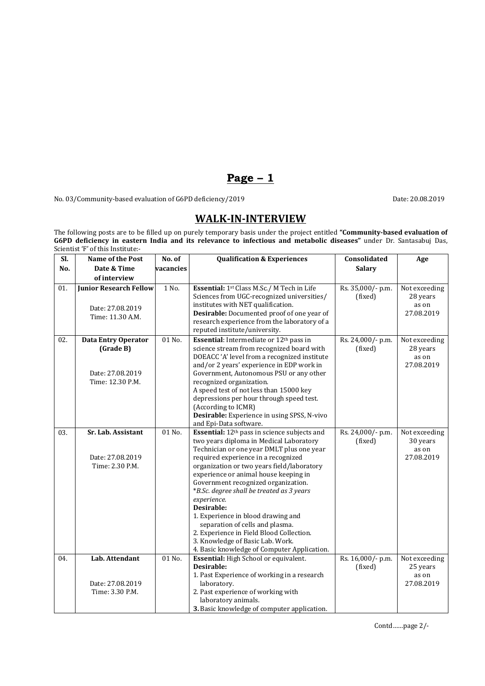# **Page – 1**

No. 03/Community-based evaluation of G6PD deficiency/2019 Date: 20.08.2019

## **WALK-IN-INTERVIEW**

The following posts are to be filled up on purely temporary basis under the project entitled **"Community-based evaluation of G6PD deficiency in eastern India and its relevance to infectious and metabolic diseases"** under Dr. Santasabuj Das, Scientist 'F' of this Institute:-

| Sl. | <b>Name of the Post</b>                                                         | No. of    | <b>Qualification &amp; Experiences</b>                                                                                                                                                                                                                                                                                                                                                                                                                                                                                                                                                                  | Consolidated                 | Age                                              |
|-----|---------------------------------------------------------------------------------|-----------|---------------------------------------------------------------------------------------------------------------------------------------------------------------------------------------------------------------------------------------------------------------------------------------------------------------------------------------------------------------------------------------------------------------------------------------------------------------------------------------------------------------------------------------------------------------------------------------------------------|------------------------------|--------------------------------------------------|
| No. | Date & Time                                                                     | vacancies |                                                                                                                                                                                                                                                                                                                                                                                                                                                                                                                                                                                                         | <b>Salary</b>                |                                                  |
|     | of interview                                                                    |           |                                                                                                                                                                                                                                                                                                                                                                                                                                                                                                                                                                                                         |                              |                                                  |
| 01. | <b>Junior Research Fellow</b><br>Date: 27.08.2019<br>Time: 11.30 A.M.           | 1 No.     | Essential: 1st Class M.Sc./ M Tech in Life<br>Sciences from UGC-recognized universities/<br>institutes with NET qualification.<br>Desirable: Documented proof of one year of<br>research experience from the laboratory of a<br>reputed institute/university.                                                                                                                                                                                                                                                                                                                                           | Rs. 35,000/- p.m.<br>(fixed) | Not exceeding<br>28 years<br>as on<br>27.08.2019 |
| 02. | <b>Data Entry Operator</b><br>(Grade B)<br>Date: 27.08.2019<br>Time: 12.30 P.M. | 01 No.    | Essential: Intermediate or 12th pass in<br>science stream from recognized board with<br>DOEACC 'A' level from a recognized institute<br>and/or 2 years' experience in EDP work in<br>Government, Autonomous PSU or any other<br>recognized organization.<br>A speed test of not less than 15000 key<br>depressions per hour through speed test.<br>(According to ICMR)<br>Desirable: Experience in using SPSS, N-vivo<br>and Epi-Data software.                                                                                                                                                         | Rs. 24,000/- p.m.<br>(fixed) | Not exceeding<br>28 years<br>as on<br>27.08.2019 |
| 03. | Sr. Lab. Assistant<br>Date: 27.08.2019<br>Time: 2.30 P.M.                       | 01 No.    | Essential: 12 <sup>th</sup> pass in science subjects and<br>two years diploma in Medical Laboratory<br>Technician or one year DMLT plus one year<br>required experience in a recognized<br>organization or two years field/laboratory<br>experience or animal house keeping in<br>Government recognized organization.<br>*B.Sc. degree shall be treated as 3 years<br>experience.<br>Desirable:<br>1. Experience in blood drawing and<br>separation of cells and plasma.<br>2. Experience in Field Blood Collection.<br>3. Knowledge of Basic Lab. Work.<br>4. Basic knowledge of Computer Application. | Rs. 24,000/- p.m.<br>(fixed) | Not exceeding<br>30 years<br>as on<br>27.08.2019 |
| 04. | Lab. Attendant<br>Date: 27.08.2019<br>Time: 3.30 P.M.                           | 01 No.    | Essential: High School or equivalent.<br>Desirable:<br>1. Past Experience of working in a research<br>laboratory.<br>2. Past experience of working with<br>laboratory animals.<br>3. Basic knowledge of computer application.                                                                                                                                                                                                                                                                                                                                                                           | Rs. 16,000/- p.m.<br>(fixed) | Not exceeding<br>25 years<br>as on<br>27.08.2019 |

Contd……page 2/-